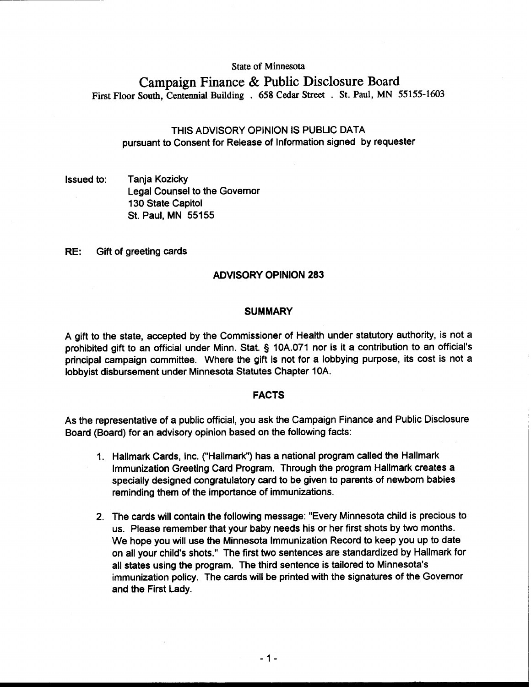#### **State of Minnesota**

# **Campaign Finance** & **Public Disclosure Board First Floor South, Centennial Building** . **658 Cedar Street** . **St. Paul, MN 55155-1603**

# THIS ADVISORY OPINION IS PUBLIC DATA pursuant to Consent for Release of Information signed by requester

Issued to: Tanja Kozicky Legal Counsel to the Governor 130 State Capitol St. Paul, MN 55155

RE: Gift of greeting cards

## **ADVISORY OPINION 283**

#### **SUMMARY**

A gift to the state, accepted by the Commissioner of Health under statutory authority, is not a prohibited gift to an official under Minn. Stat. § 10A.071 nor is it a contribution to an official's principal campaign committee. Where the gift is not for a lobbying purpose, its cost is not a lobbyist disbursement under Minnesota Statutes Chapter 10A.

#### **FACTS**

As the representative of a public official, you ask the Campaign Finance and Public Disclosure Board (Board) for an advisory opinion based on the following facts:

- 1. Hallmark Cards, Inc. ("Hallmark") has a national program called the Hallmark Immunization Greeting Card Program. Through the program Hallmark creates a specially designed congratulatory card to be given to parents of newborn babies reminding them of the importance of immunizations.
- 2. The cards will contain the following message: "Every Minnesota child is precious to us. Please remember that your baby needs his or her first shots by two months. We hope you will use the Minnesota Immunization Record to keep you up to date on all your child's shots." The first two sentences are standardized by Hallmark for all states using the program. The third sentence is tailored to Minnesota's immunization policy. The cards will be printed with the signatures of the Governor and the First Lady.